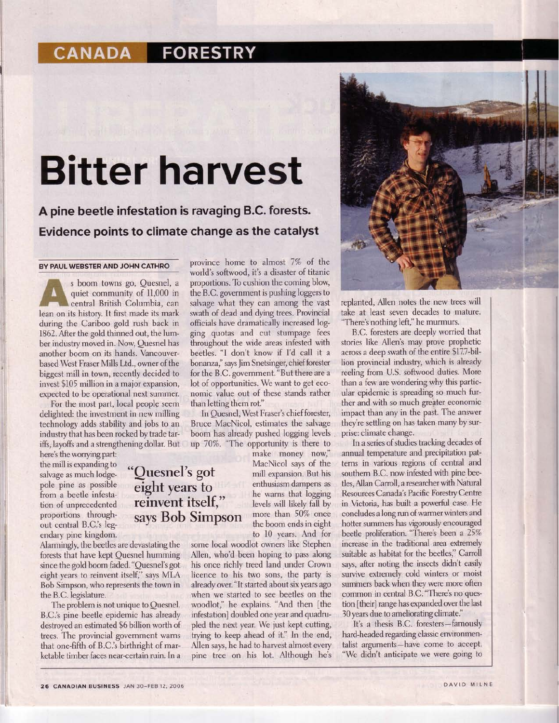## **CANADA FORESTRY**

## Bitter harvest

A pine beetle infestation is ravaging B.C. forests. Evidence points to climate change as the catalyst

> "Quesnel's got eight years to reinvent itself,"

says Bob Simpson

## BY PAUL WEBSTER AND JOHN CATHRO

s boom towns go, Quesnel, a quiet community of 11,000 in central British Columbia, can lean on its history. It first made its mark during the Cariboo gold rush back in 1862. After the gold thinned out, the lumber industry moved in. Now, Quesnel has another boom on its hands. Vancouverbased West Fraser Mills Ltd., owner of the biggest mill in town, recently decided to invest \$I05 million in a major expansion, expected to be operational next summer.

For the most part, local people seem delighted: the investment in new milling technology adds stability and iobs to an industry that has been rocked by trade tariffs, layoffs and a strengthening dollar. But

here's the worrying part: the mill is expanding to salvage as much lodgepole pine as possible from a beetle infestation of unprecedented proportions throughout central B.C.'s legendary pine kingdom.

Alarmingly, the beetles are devastating the forests that have kept Quesnel humming since the gold boom faded."Quesnel's got eight years to reinvent itself," says MLA Bob Simpson, who represents the town in the B.C.legislature.

The problem is not unique to Quesnel. B.C.'s pine beetle epidemic has already destroyed an estimated \$6 billion worth of trees. The provincial government warns that one-fifth of BC.'s birthright of marketable timber faces near-certain ruin. In a

province home to almost 7% of the world's softwood, it's a disaster of titanic proportions. To cushion the coming blow, the B.C. government is pushing loggers to salvage what they can among the vast swath of dead and dying trees. Provincial officials have dramatically increased logging quotas and cut stumpage fees throughout the wide areas infested with beetles. "l don't know if I'd call it a bonanza," says Jim Snetsinger, chief forester for the B.C. government. "But there are a lot of opportunities. We want to get economic value out of these stands rather than letting them rot."

In Quesnel, West Fraser's chief forester, Bruce MacNicol, estimates the salvage boom has already pushed logging levels up 70%. "The opportunity is there to

make money now, MacNicol says of the mill expansion. But his enthusiasm dampens as he warns that logging levels will likely fall by more than 50% once the boom ends in eight to l0 years. And for

some local woodlot owners like Stephen Allen, who'd been hoping to pass along his once richly treed land under Crown licence to his two sons, the party is already over. "lt started about six years ago when we started to see beetles on the woodlot," he explains. "And then [the infestation] doubled one year and quadrupled the next year. We just kept cutting, trying to keep ahead of it." In the end, Allen says, he had to harvest almost every pine tree on his lot. Although he's



replanted, Allen notes the new trees will take at least seven decades to mature. "There's nothing left," he murmurs.

B.C. foresters are deeply worried that stories like Allen's may prove prophetic across a deep swath of the entire \$17.7-billion provincial industry, which is already reeling from U.S. softwood duties. More than a few are wondering why this particular epidemic is spreading so much further and with so much greater economic impact than any in the past. The answer they're settling on has taken many by surprise: climate change.

In a series of studies tracking decades of annual temperafure and precipitation patterns in various regions of central and southem B.C. now infested with pine beetles,Allan Carroll, a researcher with Nafural Resources Canada's Pacific Forestry Centre in Victoria, has built a powerful case. He concludes a long run of warmer winters and hotter summers has vigorously encouraged beetle proliferation. "There's been a 25% increase in the traditional area extremely suitable as habitat for the beetles," Carroll says, after noting the insects didn't easily survive extremely cold winters or moist summers back when they were more often common in central B.C. "There's no question [their] range has expanded over the last 30 years due to ameliorating climate."

It's a thesis B.C. foresters-famously hard-headed regarding classic environmentalist arguments-have come to accept. "We didn't anticipate we were going to